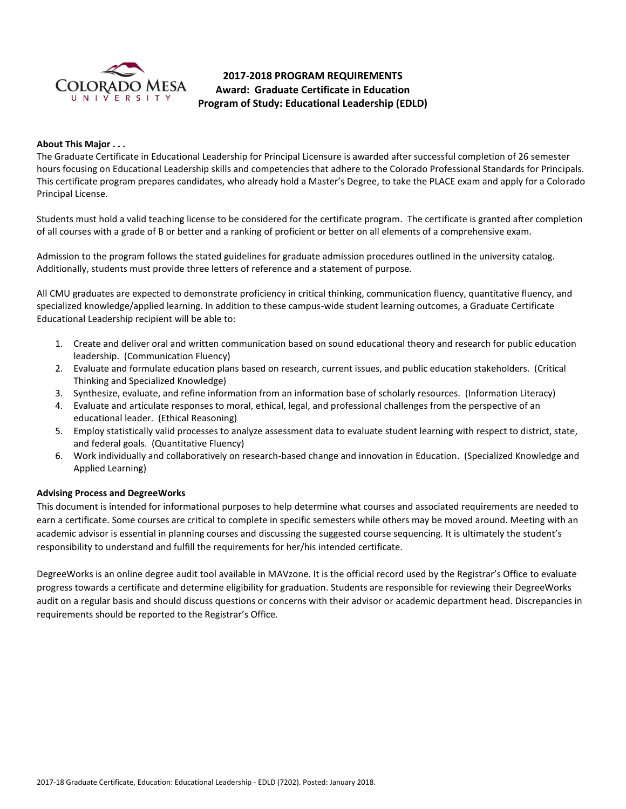

# **2017-2018 PROGRAM REQUIREMENTS Award: Graduate Certificate in Education Program of Study: Educational Leadership (EDLD)**

## **About This Major . . .**

The Graduate Certificate in Educational Leadership for Principal Licensure is awarded after successful completion of 26 semester hours focusing on Educational Leadership skills and competencies that adhere to the Colorado Professional Standards for Principals. This certificate program prepares candidates, who already hold a Master's Degree, to take the PLACE exam and apply for a Colorado Principal License.

Students must hold a valid teaching license to be considered for the certificate program. The certificate is granted after completion of all courses with a grade of B or better and a ranking of proficient or better on all elements of a comprehensive exam.

Admission to the program follows the stated guidelines for graduate admission procedures outlined in the university catalog. Additionally, students must provide three letters of reference and a statement of purpose.

All CMU graduates are expected to demonstrate proficiency in critical thinking, communication fluency, quantitative fluency, and specialized knowledge/applied learning. In addition to these campus-wide student learning outcomes, a Graduate Certificate Educational Leadership recipient will be able to:

- 1. Create and deliver oral and written communication based on sound educational theory and research for public education leadership. (Communication Fluency)
- 2. Evaluate and formulate education plans based on research, current issues, and public education stakeholders. (Critical Thinking and Specialized Knowledge)
- 3. Synthesize, evaluate, and refine information from an information base of scholarly resources. (Information Literacy)
- 4. Evaluate and articulate responses to moral, ethical, legal, and professional challenges from the perspective of an educational leader. (Ethical Reasoning)
- 5. Employ statistically valid processes to analyze assessment data to evaluate student learning with respect to district, state, and federal goals. (Quantitative Fluency)
- 6. Work individually and collaboratively on research-based change and innovation in Education. (Specialized Knowledge and Applied Learning)

### **Advising Process and DegreeWorks**

This document is intended for informational purposes to help determine what courses and associated requirements are needed to earn a certificate. Some courses are critical to complete in specific semesters while others may be moved around. Meeting with an academic advisor is essential in planning courses and discussing the suggested course sequencing. It is ultimately the student's responsibility to understand and fulfill the requirements for her/his intended certificate.

DegreeWorks is an online degree audit tool available in MAVzone. It is the official record used by the Registrar's Office to evaluate progress towards a certificate and determine eligibility for graduation. Students are responsible for reviewing their DegreeWorks audit on a regular basis and should discuss questions or concerns with their advisor or academic department head. Discrepancies in requirements should be reported to the Registrar's Office.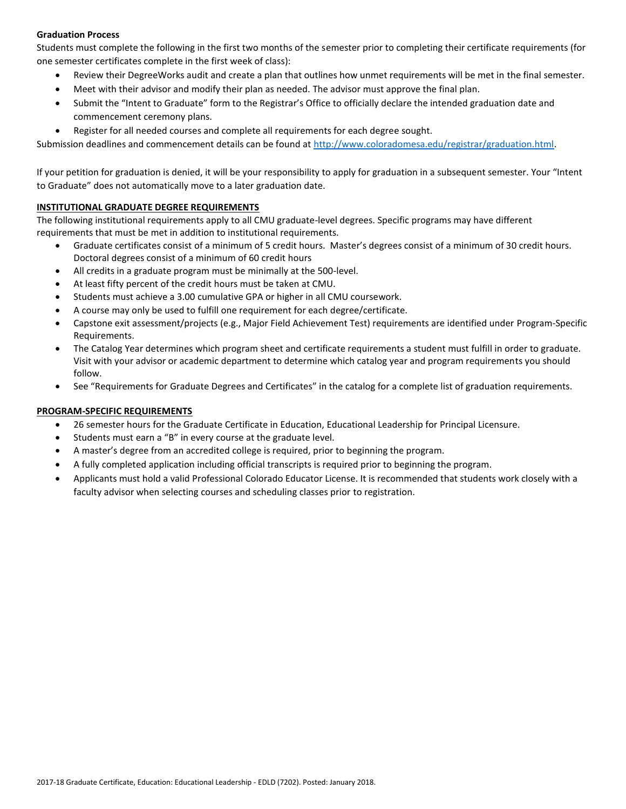# **Graduation Process**

Students must complete the following in the first two months of the semester prior to completing their certificate requirements (for one semester certificates complete in the first week of class):

- Review their DegreeWorks audit and create a plan that outlines how unmet requirements will be met in the final semester.
- Meet with their advisor and modify their plan as needed. The advisor must approve the final plan.
- Submit the "Intent to Graduate" form to the Registrar's Office to officially declare the intended graduation date and commencement ceremony plans.
- Register for all needed courses and complete all requirements for each degree sought.

Submission deadlines and commencement details can be found at [http://www.coloradomesa.edu/registrar/graduation.html.](http://www.coloradomesa.edu/registrar/graduation.html)

If your petition for graduation is denied, it will be your responsibility to apply for graduation in a subsequent semester. Your "Intent to Graduate" does not automatically move to a later graduation date.

## **INSTITUTIONAL GRADUATE DEGREE REQUIREMENTS**

The following institutional requirements apply to all CMU graduate-level degrees. Specific programs may have different requirements that must be met in addition to institutional requirements.

- Graduate certificates consist of a minimum of 5 credit hours. Master's degrees consist of a minimum of 30 credit hours. Doctoral degrees consist of a minimum of 60 credit hours
- All credits in a graduate program must be minimally at the 500-level.
- At least fifty percent of the credit hours must be taken at CMU.
- Students must achieve a 3.00 cumulative GPA or higher in all CMU coursework.
- A course may only be used to fulfill one requirement for each degree/certificate.
- Capstone exit assessment/projects (e.g., Major Field Achievement Test) requirements are identified under Program-Specific Requirements.
- The Catalog Year determines which program sheet and certificate requirements a student must fulfill in order to graduate. Visit with your advisor or academic department to determine which catalog year and program requirements you should follow.
- See "Requirements for Graduate Degrees and Certificates" in the catalog for a complete list of graduation requirements.

# **PROGRAM-SPECIFIC REQUIREMENTS**

- 26 semester hours for the Graduate Certificate in Education, Educational Leadership for Principal Licensure.
- Students must earn a "B" in every course at the graduate level.
- A master's degree from an accredited college is required, prior to beginning the program.
- A fully completed application including official transcripts is required prior to beginning the program.
- Applicants must hold a valid Professional Colorado Educator License. It is recommended that students work closely with a faculty advisor when selecting courses and scheduling classes prior to registration.